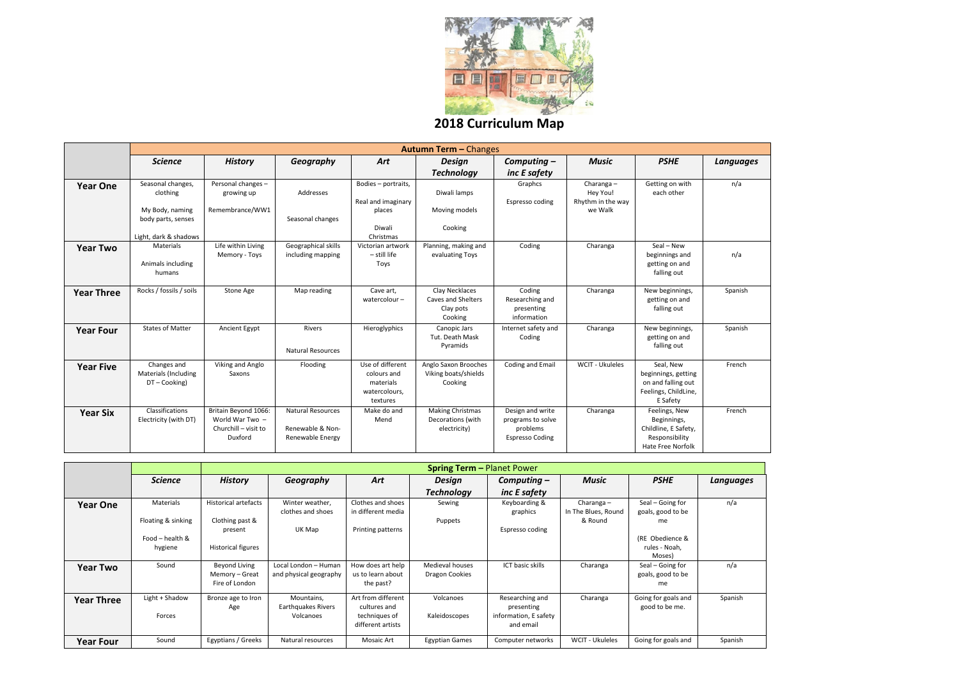

**2018 Curriculum Map**

|                   |                                                                          |                                                                            |                                                                  |                                                                           | <b>Autumn Term - Changes</b>                                 |                                                                             |                                            |                                                                                                    |     |
|-------------------|--------------------------------------------------------------------------|----------------------------------------------------------------------------|------------------------------------------------------------------|---------------------------------------------------------------------------|--------------------------------------------------------------|-----------------------------------------------------------------------------|--------------------------------------------|----------------------------------------------------------------------------------------------------|-----|
|                   | <b>Science</b>                                                           | <b>History</b>                                                             | Geography                                                        | Art                                                                       | <b>Design</b>                                                | Computing $-$                                                               | Music                                      | <b>PSHE</b>                                                                                        | Lar |
|                   |                                                                          |                                                                            |                                                                  |                                                                           | <b>Technology</b>                                            | inc E safety                                                                |                                            |                                                                                                    |     |
| <b>Year One</b>   | Seasonal changes,<br>clothing                                            | Personal changes -<br>growing up                                           | Addresses                                                        | Bodies - portraits,<br>Real and imaginary                                 | Diwali lamps                                                 | Graphcs<br>Espresso coding                                                  | Charanga-<br>Hey You!<br>Rhythm in the way | Getting on with<br>each other                                                                      |     |
|                   | My Body, naming<br>body parts, senses                                    | Remembrance/WW1                                                            | Seasonal changes                                                 | places<br>Diwali                                                          | Moving models<br>Cooking                                     |                                                                             | we Walk                                    |                                                                                                    |     |
| <b>Year Two</b>   | Light, dark & shadows<br><b>Materials</b><br>Animals including<br>humans | Life within Living<br>Memory - Toys                                        | Geographical skills<br>including mapping                         | Christmas<br>Victorian artwork<br>$-$ still life<br>Toys                  | Planning, making and<br>evaluating Toys                      | Coding                                                                      | Charanga                                   | Seal - New<br>beginnings and<br>getting on and<br>falling out                                      |     |
| <b>Year Three</b> | Rocks / fossils / soils                                                  | Stone Age                                                                  | Map reading                                                      | Cave art,<br>watercolour $-$                                              | Clay Necklaces<br>Caves and Shelters<br>Clay pots<br>Cooking | Coding<br>Researching and<br>presenting<br>information                      | Charanga                                   | New beginnings,<br>getting on and<br>falling out                                                   |     |
| <b>Year Four</b>  | <b>States of Matter</b>                                                  | Ancient Egypt                                                              | <b>Rivers</b><br><b>Natural Resources</b>                        | Hieroglyphics                                                             | Canopic Jars<br>Tut. Death Mask<br>Pyramids                  | Internet safety and<br>Coding                                               | Charanga                                   | New beginnings,<br>getting on and<br>falling out                                                   |     |
| <b>Year Five</b>  | Changes and<br><b>Materials (Including</b><br>DT-Cooking)                | Viking and Anglo<br>Saxons                                                 | Flooding                                                         | Use of different<br>colours and<br>materials<br>watercolours,<br>textures | Anglo Saxon Brooches<br>Viking boats/shields<br>Cooking      | Coding and Email                                                            | WCIT - Ukuleles                            | Seal, New<br>beginnings, getting<br>on and falling out<br>Feelings, ChildLine,<br>E Safety         |     |
| <b>Year Six</b>   | Classifications<br>Electricity (with DT)                                 | Britain Beyond 1066:<br>World War Two -<br>Churchill - visit to<br>Duxford | <b>Natural Resources</b><br>Renewable & Non-<br>Renewable Energy | Make do and<br>Mend                                                       | <b>Making Christmas</b><br>Decorations (with<br>electricity) | Design and write<br>programs to solve<br>problems<br><b>Espresso Coding</b> | Charanga                                   | Feelings, New<br>Beginnings,<br>Childline, E Safety,<br>Responsibility<br><b>Hate Free Norfolk</b> |     |



|                   |                            | <b>Spring Term - Planet Power</b>                 |                                                |                                                                          |                                   |                                                                     |                                     |                                             |         |
|-------------------|----------------------------|---------------------------------------------------|------------------------------------------------|--------------------------------------------------------------------------|-----------------------------------|---------------------------------------------------------------------|-------------------------------------|---------------------------------------------|---------|
|                   | <b>Science</b>             | <b>History</b>                                    | Geography                                      | Art                                                                      | Design                            | Computing $-$                                                       | <b>Music</b>                        | <b>PSHE</b>                                 | Languag |
|                   |                            |                                                   |                                                |                                                                          | <b>Technology</b>                 | inc E safety                                                        |                                     |                                             |         |
| <b>Year One</b>   | Materials                  | <b>Historical artefacts</b>                       | Winter weather,<br>clothes and shoes           | Clothes and shoes<br>in different media                                  | Sewing                            | Keyboarding &<br>graphics                                           | Charanga $-$<br>In The Blues, Round | Seal - Going for<br>goals, good to be       | n/a     |
|                   | Floating & sinking         | Clothing past &                                   |                                                |                                                                          | Puppets                           |                                                                     | & Round                             | me                                          |         |
|                   | Food - health &<br>hygiene | present<br><b>Historical figures</b>              | UK Map                                         | Printing patterns                                                        |                                   | Espresso coding                                                     |                                     | (RE Obedience &<br>rules - Noah,            |         |
|                   |                            |                                                   |                                                |                                                                          |                                   |                                                                     |                                     | Moses)                                      |         |
| <b>Year Two</b>   | Sound                      | Beyond Living<br>Memory – Great<br>Fire of London | Local London - Human<br>and physical geography | How does art help<br>us to learn about<br>the past?                      | Medieval houses<br>Dragon Cookies | <b>ICT</b> basic skills                                             | Charanga                            | Seal – Going for<br>goals, good to be<br>me | n/a     |
| <b>Year Three</b> | Light + Shadow<br>Forces   | Bronze age to Iron<br>Age                         | Mountains,<br>Earthquakes Rivers<br>Volcanoes  | Art from different<br>cultures and<br>techniques of<br>different artists | Volcanoes<br>Kaleidoscopes        | Researching and<br>presenting<br>information, E safety<br>and email | Charanga                            | Going for goals and<br>good to be me.       | Spanish |
| <b>Year Four</b>  | Sound                      | Egyptians / Greeks                                | Natural resources                              | Mosaic Art                                                               | <b>Egyptian Games</b>             | Computer networks                                                   | WCIT - Ukuleles                     | Going for goals and                         | Spanish |